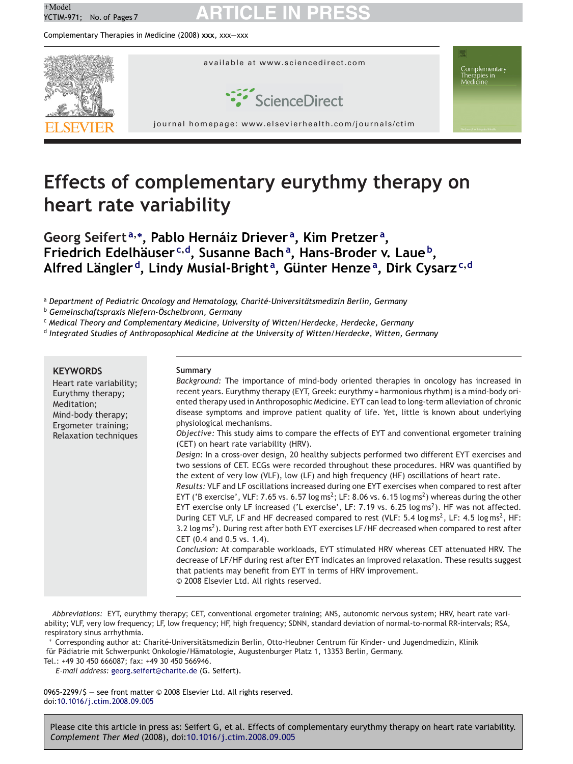# <sup>+Model</sup><br>YCTIM-971; No. of Pages 7 **ARTICLE IN PRESS**

Complementary Therapies in Medicine (2008) **xxx**, xxx—xxx



### **Effects of complementary eurythmy therapy on heart rate variability**

**Georg Seifert <sup>a</sup>,<sup>∗</sup> , Pablo Hernáiz Driever <sup>a</sup> , Kim Pretzer <sup>a</sup> , Friedrich Edelhäuser <sup>c</sup>,d, Susanne Bacha , Hans-Broder v. Laue b, Alfred Längler d, Lindy Musial-Bright <sup>a</sup> , Günter Henze<sup>a</sup> , Dirk Cysarz<sup>c</sup>,<sup>d</sup>**

<sup>a</sup> *Department of Pediatric Oncology and Hematology, Charité-Universitätsmedizin Berlin, Germany*

<sup>b</sup> *Gemeinschaftspraxis Niefern-Öschelbronn, Germany*

<sup>c</sup> *Medical Theory and Complementary Medicine, University of Witten/Herdecke, Herdecke, Germany*

<sup>d</sup> *Integrated Studies of Anthroposophical Medicine at the University of Witten/Herdecke, Witten, Germany*

#### **KEYWORDS** Heart rate variability; Eurythmy therapy; Meditation; Mind-body therapy; Ergometer training; Relaxation techniques **Summary** *Background:* The importance of mind-body oriented therapies in oncology has increased in recent years. Eurythmy therapy (EYT, Greek: eurythmy = harmonious rhythm) is a mind-body oriented therapy used in Anthroposophic Medicine. EYT can lead to long-term alleviation of chronic disease symptoms and improve patient quality of life. Yet, little is known about underlying physiological mechanisms. *Objective:* This study aims to compare the effects of EYT and conventional ergometer training (CET) on heart rate variability (HRV). *Design:* In a cross-over design, 20 healthy subjects performed two different EYT exercises and two sessions of CET. ECGs were recorded throughout these procedures. HRV was quantified by the extent of very low (VLF), low (LF) and high frequency (HF) oscillations of heart rate. *Results:* VLF and LF oscillations increased during one EYT exercises when compared to rest after EYT ('B exercise', VLF: 7.65 vs. 6.57 log ms<sup>2</sup>; LF: 8.06 vs. 6.15 log ms<sup>2</sup>) whereas during the other EYT exercise only LF increased ('L exercise', LF: 7.19 vs. 6.25 log ms<sup>2</sup>). HF was not affected. During CET VLF, LF and HF decreased compared to rest (VLF: 5.4 log ms<sup>2</sup>, LF: 4.5 log ms<sup>2</sup>, HF: 3.2 log ms<sup>2</sup>). During rest after both EYT exercises LF/HF decreased when compared to rest after CET (0.4 and 0.5 vs. 1.4). *Conclusion:* At comparable workloads, EYT stimulated HRV whereas CET attenuated HRV. The decrease of LF/HF during rest after EYT indicates an improved relaxation. These results suggest that patients may benefit from EYT in terms of HRV improvement. © 2008 Elsevier Ltd. All rights reserved.

*Abbreviations:* EYT, eurythmy therapy; CET, conventional ergometer training; ANS, autonomic nervous system; HRV, heart rate variability; VLF, very low frequency; LF, low frequency; HF, high frequency; SDNN, standard deviation of normal-to-normal RR-intervals; RSA, respiratory sinus arrhythmia.

∗ Corresponding author at: Charité-Universitätsmedizin Berlin, Otto-Heubner Centrum für Kinder- und Jugendmedizin, Klinik für Pädiatrie mit Schwerpunkt Onkologie/Hämatologie, Augustenburger Platz 1, 13353 Berlin, Germany.

Tel.: +49 30 450 666087; fax: +49 30 450 566946.

*E-mail address:* [georg.seifert@charite.de](mailto:georg.seifert@charite.de) (G. Seifert).

0965-2299/\$ — see front matter © 2008 Elsevier Ltd. All rights reserved. doi[:10.1016/j.ctim.2008.09.005](dx.doi.org/10.1016/j.ctim.2008.09.005)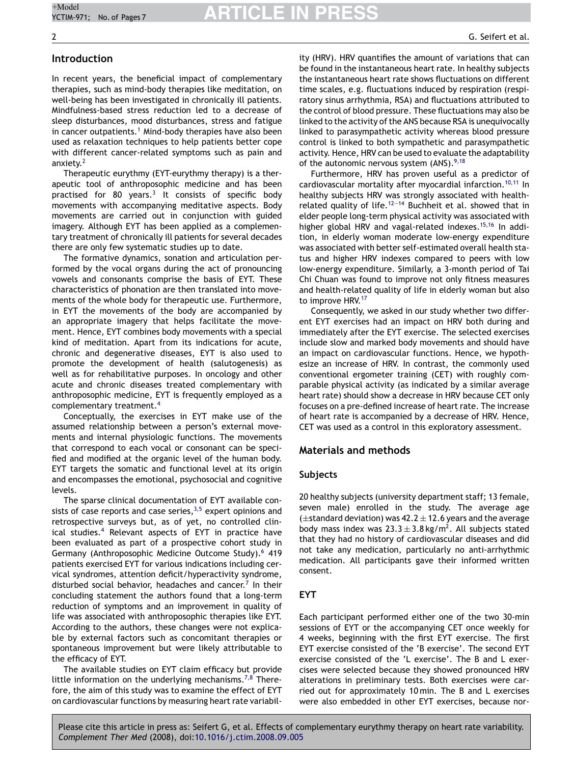#### **Introduction**

In recent years, the beneficial impact of complementary therapies, such as mind-body therapies like meditation, on well-being has been investigated in chronically ill patients. Mindfulness-based stress reduction led to a decrease of sleep disturbances, mood disturbances, stress and fatigue in cancer outpatients.<sup>[1](#page-5-0)</sup> Mind-body therapies have also been used as relaxation techniques to help patients better cope with different cancer-related symptoms such as pain and anxiety.[2](#page-5-0)

Therapeutic eurythmy (EYT-eurythmy therapy) is a therapeutic tool of anthroposophic medicine and has been practised for 80 years. $3$  It consists of specific body movements with accompanying meditative aspects. Body movements are carried out in conjunction with guided imagery. Although EYT has been applied as a complementary treatment of chronically ill patients for several decades there are only few systematic studies up to date.

The formative dynamics, sonation and articulation performed by the vocal organs during the act of pronouncing vowels and consonants comprise the basis of EYT. These characteristics of phonation are then translated into movements of the whole body for therapeutic use. Furthermore, in EYT the movements of the body are accompanied by an appropriate imagery that helps facilitate the movement. Hence, EYT combines body movements with a special kind of meditation. Apart from its indications for acute, chronic and degenerative diseases, EYT is also used to promote the development of health (salutogenesis) as well as for rehabilitative purposes. In oncology and other acute and chronic diseases treated complementary with anthroposophic medicine, EYT is frequently employed as a complementary treatment.[4](#page-5-0)

Conceptually, the exercises in EYT make use of the assumed relationship between a person's external movements and internal physiologic functions. The movements that correspond to each vocal or consonant can be specified and modified at the organic level of the human body. EYT targets the somatic and functional level at its origin and encompasses the emotional, psychosocial and cognitive levels.

The sparse clinical documentation of EYT available consists of case reports and case series,  $3,5$  expert opinions and retrospective surveys but, as of yet, no controlled clin-ical studies.<sup>[4](#page-5-0)</sup> Relevant aspects of EYT in practice have been evaluated as part of a prospective cohort study in Germany (Anthroposophic Medicine Outcome Study).<sup>[6](#page-5-0)</sup> 419 patients exercised EYT for various indications including cervical syndromes, attention deficit/hyperactivity syndrome, disturbed social behavior, headaches and cancer.<sup>[7](#page-5-0)</sup> In their concluding statement the authors found that a long-term reduction of symptoms and an improvement in quality of life was associated with anthroposophic therapies like EYT. According to the authors, these changes were not explicable by external factors such as concomitant therapies or spontaneous improvement but were likely attributable to the efficacy of EYT.

The available studies on EYT claim efficacy but provide little information on the underlying mechanisms.<sup>[7,8](#page-5-0)</sup> Therefore, the aim of this study was to examine the effect of EYT on cardiovascular functions by measuring heart rate variabil-

ity (HRV). HRV quantifies the amount of variations that can be found in the instantaneous heart rate. In healthy subjects the instantaneous heart rate shows fluctuations on different time scales, e.g. fluctuations induced by respiration (respiratory sinus arrhythmia, RSA) and fluctuations attributed to the control of blood pressure. These fluctuations may also be linked to the activity of the ANS because RSA is unequivocally linked to parasympathetic activity whereas blood pressure control is linked to both sympathetic and parasympathetic activity. Hence, HRV can be used to evaluate the adaptability of the autonomic nervous system  $(ANS).^{9,18}$  $(ANS).^{9,18}$  $(ANS).^{9,18}$ 

Furthermore, HRV has proven useful as a predictor of cardiovascular mortality after myocardial infarction.<sup>[10,11](#page-5-0)</sup> In healthy subjects HRV was strongly associated with healthrelated quality of life.<sup>12-14</sup> Buchheit et al. showed that in elder people long-term physical activity was associated with higher global HRV and vagal-related indexes.<sup>[15,16](#page-5-0)</sup> In addition, in elderly woman moderate low-energy expenditure was associated with better self-estimated overall health status and higher HRV indexes compared to peers with low low-energy expenditure. Similarly, a 3-month period of Tai Chi Chuan was found to improve not only fitness measures and health-related quality of life in elderly woman but also to improve HRV.[17](#page-5-0)

Consequently, we asked in our study whether two different EYT exercises had an impact on HRV both during and immediately after the EYT exercise. The selected exercises include slow and marked body movements and should have an impact on cardiovascular functions. Hence, we hypothesize an increase of HRV. In contrast, the commonly used conventional ergometer training (CET) with roughly comparable physical activity (as indicated by a similar average heart rate) should show a decrease in HRV because CET only focuses on a pre-defined increase of heart rate. The increase of heart rate is accompanied by a decrease of HRV. Hence, CET was used as a control in this exploratory assessment.

#### **Materials and methods**

#### **Subjects**

20 healthy subjects (university department staff; 13 female, seven male) enrolled in the study. The average age ( $\pm$ standard deviation) was 42.2  $\pm$  12.6 years and the average body mass index was  $23.3 \pm 3.8$  kg/m<sup>2</sup>. All subjects stated that they had no history of cardiovascular diseases and did not take any medication, particularly no anti-arrhythmic medication. All participants gave their informed written consent.

#### **EYT**

Each participant performed either one of the two 30-min sessions of EYT or the accompanying CET once weekly for 4 weeks, beginning with the first EYT exercise. The first EYT exercise consisted of the 'B exercise'. The second EYT exercise consisted of the 'L exercise'. The B and L exercises were selected because they showed pronounced HRV alterations in preliminary tests. Both exercises were carried out for approximately 10 min. The B and L exercises were also embedded in other EYT exercises, because nor-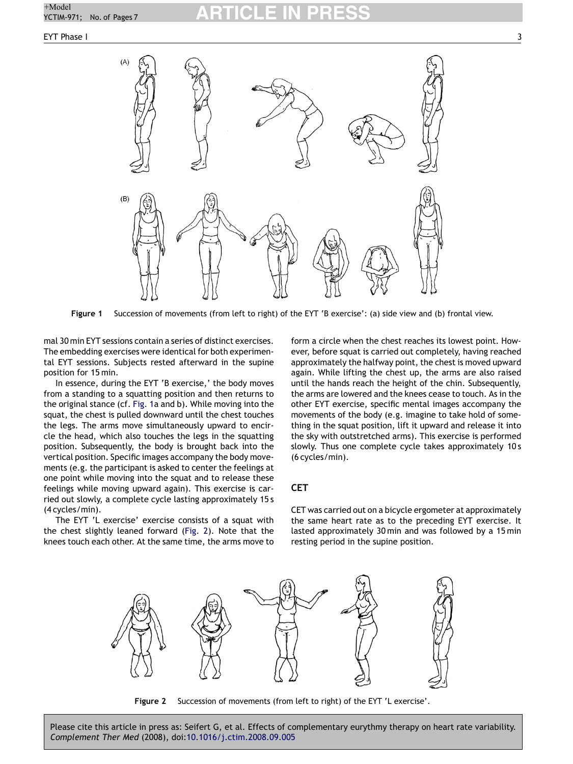

**Figure 1** Succession of movements (from left to right) of the EYT 'B exercise': (a) side view and (b) frontal view.

mal 30 min EYT sessions contain a series of distinct exercises. The embedding exercises were identical for both experimental EYT sessions. Subjects rested afterward in the supine position for 15 min.

In essence, during the EYT 'B exercise,' the body moves from a standing to a squatting position and then returns to the original stance (cf. Fig. 1a and b). While moving into the squat, the chest is pulled downward until the chest touches the legs. The arms move simultaneously upward to encircle the head, which also touches the legs in the squatting position. Subsequently, the body is brought back into the vertical position. Specific images accompany the body movements (e.g. the participant is asked to center the feelings at one point while moving into the squat and to release these feelings while moving upward again). This exercise is carried out slowly, a complete cycle lasting approximately 15 s (4 cycles/min).

The EYT 'L exercise' exercise consists of a squat with the chest slightly leaned forward (Fig. 2). Note that the knees touch each other. At the same time, the arms move to

form a circle when the chest reaches its lowest point. However, before squat is carried out completely, having reached approximately the halfway point, the chest is moved upward again. While lifting the chest up, the arms are also raised until the hands reach the height of the chin. Subsequently, the arms are lowered and the knees cease to touch. As in the other EYT exercise, specific mental images accompany the movements of the body (e.g. imagine to take hold of something in the squat position, lift it upward and release it into the sky with outstretched arms). This exercise is performed slowly. Thus one complete cycle takes approximately 10 s (6 cycles/min).

### **CET**

CET was carried out on a bicycle ergometer at approximately the same heart rate as to the preceding EYT exercise. It lasted approximately 30 min and was followed by a 15 min resting period in the supine position.



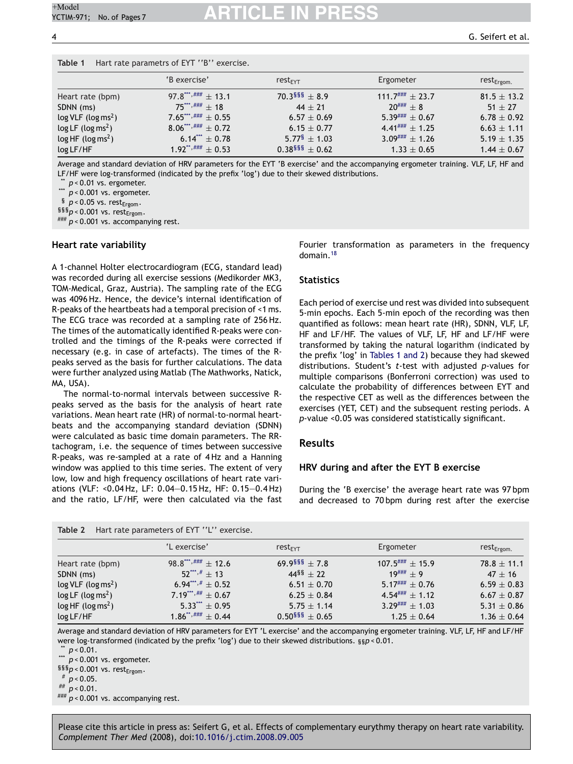# +Model **ARTICLE IN PRESS**

#### **Table 1** Hart rate parametrs of EYT ''B'' exercise.

|                                           | 'B exercise'                    | rest <sub>FYT</sub>           | Ergometer                    | rest <sub>Ergom.</sub> |  |  |
|-------------------------------------------|---------------------------------|-------------------------------|------------------------------|------------------------|--|--|
| Heart rate (bpm)                          | $97.8***$ , ### $+$ 13.1        | $70.3$ <sup>§§§</sup> + 8.9   | $111.7$ $7$ $#$ $#$ $+$ 23.7 | $81.5 \pm 13.2$        |  |  |
| SDNN (ms)                                 | $75***$ , ### + 18              | $44 + 21$                     | $20^{###} + 8$               | $51 + 27$              |  |  |
| $log$ VLF ( $log$ ms <sup>2</sup> )       | $7.65***$ , ### + 0.55          | $6.57 \pm 0.69$               | $5.39$ ### $\pm 0.67$        | $6.78 \pm 0.92$        |  |  |
| $\log \mathsf{LF}$ (log ms <sup>2</sup> ) | $8.06***$ , ### $+ 0.72$        | $6.15 \pm 0.77$               | $4.41$ ### + 1.25            | $6.63 \pm 1.11$        |  |  |
| log HF (log ms <sup>2</sup> )             | $6.14***$ $\pm$ 0.78            | $5.77^{\frac{6}{5}} \pm 1.03$ | $3.09$ ### $+ 1.26$          | $5.19 \pm 1.35$        |  |  |
| log LF/HF                                 | $1.92$ <sup>**,###</sup> + 0.53 | $0.38$ §§§ + 0.62             | $1.33 \pm 0.65$              | $1.44 \pm 0.67$        |  |  |

Average and standard deviation of HRV parameters for the EYT 'B exercise' and the accompanying ergometer training. VLF, LF, HF and LF/HF were log-transformed (indicated by the prefix 'log') due to their skewed distributions.

 $\stackrel{\ast}{p}$   $\times$  0.01 vs. ergometer.

p < 0.001 vs. ergometer.

 $\frac{1}{2}$  *p* < 0.05 vs. rest<sub>Ergom</sub>.<br>§§§<sub>*p* < 0.001 vs. rest<sub>Ergom</sub>.</sub>

###  $p$  < 0.001 vs. accompanying rest.

#### **Heart rate variability**

A 1-channel Holter electrocardiogram (ECG, standard lead) was recorded during all exercise sessions (Medikorder MK3, TOM-Medical, Graz, Austria). The sampling rate of the ECG was 4096 Hz. Hence, the device's internal identification of R-peaks of the heartbeats had a temporal precision of <1 ms. The ECG trace was recorded at a sampling rate of 256 Hz. The times of the automatically identified R-peaks were controlled and the timings of the R-peaks were corrected if necessary (e.g. in case of artefacts). The times of the Rpeaks served as the basis for further calculations. The data were further analyzed using Matlab (The Mathworks, Natick, MA, USA).

The normal-to-normal intervals between successive Rpeaks served as the basis for the analysis of heart rate variations. Mean heart rate (HR) of normal-to-normal heartbeats and the accompanying standard deviation (SDNN) were calculated as basic time domain parameters. The RRtachogram, i.e. the sequence of times between successive R-peaks, was re-sampled at a rate of 4 Hz and a Hanning window was applied to this time series. The extent of very low, low and high frequency oscillations of heart rate variations (VLF: <0.04 Hz, LF: 0.04—0.15 Hz, HF: 0.15—0.4 Hz) and the ratio, LF/HF, were then calculated via the fast Fourier transformation as parameters in the frequency domain.[18](#page-5-0)

#### **Statistics**

Each period of exercise und rest was divided into subsequent 5-min epochs. Each 5-min epoch of the recording was then quantified as follows: mean heart rate (HR), SDNN, VLF, LF, HF and LF/HF. The values of VLF, LF, HF and LF/HF were transformed by taking the natural logarithm (indicated by the prefix 'log' in Tables 1 and 2) because they had skewed distributions. Student's *t*-test with adjusted *p*-values for multiple comparisons (Bonferroni correction) was used to calculate the probability of differences between EYT and the respective CET as well as the differences between the exercises (YET, CET) and the subsequent resting periods. A *p*-value <0.05 was considered statistically significant.

#### **Results**

#### **HRV during and after the EYT B exercise**

During the 'B exercise' the average heart rate was 97 bpm and decreased to 70 bpm during rest after the exercise

|                                           | 'L exercise'                            | rest <sub>FYT</sub>          | Ergometer                    | rest <sub>Ergom.</sub> |  |  |
|-------------------------------------------|-----------------------------------------|------------------------------|------------------------------|------------------------|--|--|
| Heart rate (bpm)                          | $98.8***$ , ### + 12.6                  | $69.9$ <sup>§§§</sup> + 7.8  | $107.5$ $\frac{#}{#}$ + 15.9 | $78.8 \pm 11.1$        |  |  |
| SDNN (ms)                                 | $52^{***},#+13$                         | $44\frac{8}{9} + 22$         | $19$ <sup>###</sup> + 9      | $47 + 16$              |  |  |
| $\log$ VLF (log ms <sup>2</sup> )         | $6.94***$ , # + 0.52                    | $6.51 \pm 0.70$              | $5.17$ $\#$ $\#$ $+$ 0.76    | $6.59 \pm 0.83$        |  |  |
| $\log \mathsf{LF}$ (log ms <sup>2</sup> ) | 7.19***,## $\pm$ 0.67                   | $6.25 \pm 0.84$              | $4.54$ ### $\pm 1.12$        | $6.67 \pm 0.87$        |  |  |
| log HF (log ms <sup>2</sup> )             | $5.33***$ $\pm 0.95$                    | $5.75 \pm 1.14$              | $3.29$ ### $+ 1.03$          | $5.31 \pm 0.86$        |  |  |
| log LF/HF                                 | $1.86^{**}, \frac{\# \# \#}{\#} + 0.44$ | $0.50$ <sup>§§§</sup> ± 0.65 | $1.25 \pm 0.64$              | $1.36 \pm 0.64$        |  |  |

**Table 2** Hart rate parameters of EYT ''L'' exercise.

Average and standard deviation of HRV parameters for EYT 'L exercise' and the accompanying ergometer training. VLF, LF, HF and LF/HF were log-transformed (indicated by the prefix 'log') due to their skewed distributions. §§*p* < 0.01.

 $p < 0.01$ .

p < 0.001 vs. ergometer.

 $§§§p < 0.001$  vs. rest<sub>Ergom</sub>.<br>
#  $p < 0.05$ .

## *p* < 0.01.

### *p* < 0.001 vs. accompanying rest.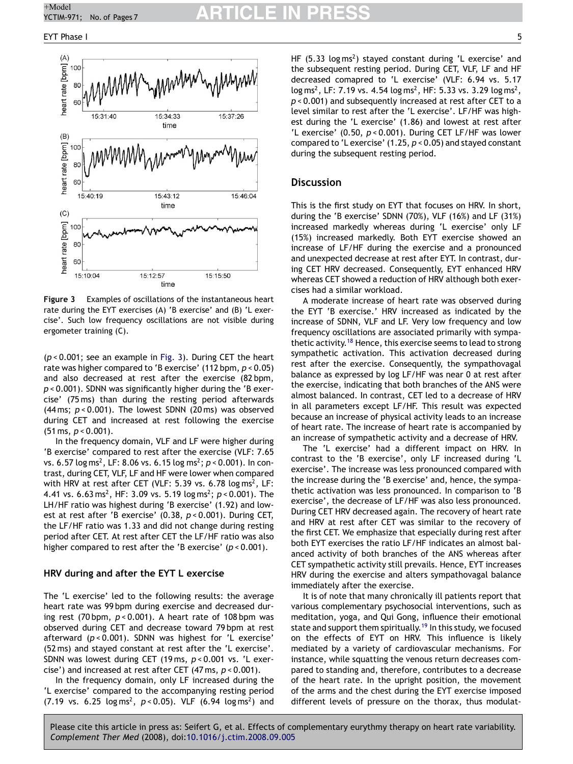# <sup>+Model</sup><br>YCTIM-971; No. of Pages 7 **ARTICLE IN PRESS**



**Figure 3** Examples of oscillations of the instantaneous heart rate during the EYT exercises (A) 'B exercise' and (B) 'L exercise'. Such low frequency oscillations are not visible during ergometer training (C).

(*p* < 0.001; see an example in Fig. 3). During CET the heart rate was higher compared to 'B exercise' (112 bpm, *p* < 0.05) and also decreased at rest after the exercise (82 bpm, *p* < 0.001). SDNN was significantly higher during the 'B exercise' (75 ms) than during the resting period afterwards (44 ms; *p* < 0.001). The lowest SDNN (20 ms) was observed during CET and increased at rest following the exercise (51 ms, *p* < 0.001).

In the frequency domain, VLF and LF were higher during 'B exercise' compared to rest after the exercise (VLF: 7.65 vs. 6.57 log ms<sup>2</sup>, LF: 8.06 vs. 6.15 log ms<sup>2</sup>; *p* < 0.001). In contrast, during CET, VLF, LF and HF were lower when compared with HRV at rest after CET (VLF: 5.39 vs. 6.78  $log ms<sup>2</sup>$ , LF: 4.41 vs. 6.63 ms<sup>2</sup>, HF: 3.09 vs. 5.19 log ms<sup>2</sup>; *p* < 0.001). The LH/HF ratio was highest during 'B exercise' (1.92) and lowest at rest after 'B exercise' (0.38, *p* < 0.001). During CET, the LF/HF ratio was 1.33 and did not change during resting period after CET. At rest after CET the LF/HF ratio was also higher compared to rest after the 'B exercise' (*p* < 0.001).

#### **HRV during and after the EYT L exercise**

The 'L exercise' led to the following results: the average heart rate was 99 bpm during exercise and decreased during rest (70 bpm, *p* < 0.001). A heart rate of 108 bpm was observed during CET and decrease toward 79 bpm at rest afterward (*p* < 0.001). SDNN was highest for 'L exercise' (52 ms) and stayed constant at rest after the 'L exercise'. SDNN was lowest during CET (19 ms, *p* < 0.001 vs. 'L exercise') and increased at rest after CET (47 ms, *p* < 0.001).

In the frequency domain, only LF increased during the 'L exercise' compared to the accompanying resting period  $(7.19 \text{ vs. } 6.25 \text{ log ms}^2, p < 0.05)$ . VLF  $(6.94 \text{ log ms}^2)$  and HF  $(5.33 \text{ log} \text{ ms}^2)$  stayed constant during 'L exercise' and the subsequent resting period. During CET, VLF, LF and HF decreased comapred to 'L exercise' (VLF: 6.94 vs. 5.17  $log ms<sup>2</sup>$ , LF: 7.19 vs. 4.54  $log ms<sup>2</sup>$ , HF: 5.33 vs. 3.29  $log ms<sup>2</sup>$ , *p* < 0.001) and subsequently increased at rest after CET to a level similar to rest after the 'L exercise'. LF/HF was highest during the 'L exercise' (1.86) and lowest at rest after 'L exercise' (0.50, *p* < 0.001). During CET LF/HF was lower compared to 'L exercise' (1.25, *p* < 0.05) and stayed constant during the subsequent resting period.

#### **Discussion**

This is the first study on EYT that focuses on HRV. In short, during the 'B exercise' SDNN (70%), VLF (16%) and LF (31%) increased markedly whereas during 'L exercise' only LF (15%) increased markedly. Both EYT exercise showed an increase of LF/HF during the exercise and a pronounced and unexpected decrease at rest after EYT. In contrast, during CET HRV decreased. Consequently, EYT enhanced HRV whereas CET showed a reduction of HRV although both exercises had a similar workload.

A moderate increase of heart rate was observed during the EYT 'B exercise.' HRV increased as indicated by the increase of SDNN, VLF and LF. Very low frequency and low frequency oscillations are associated primarily with sympathetic activity.[18](#page-5-0) Hence, this exercise seems to lead to strong sympathetic activation. This activation decreased during rest after the exercise. Consequently, the sympathovagal balance as expressed by log LF/HF was near 0 at rest after the exercise, indicating that both branches of the ANS were almost balanced. In contrast, CET led to a decrease of HRV in all parameters except LF/HF. This result was expected because an increase of physical activity leads to an increase of heart rate. The increase of heart rate is accompanied by an increase of sympathetic activity and a decrease of HRV.

The 'L exercise' had a different impact on HRV. In contrast to the 'B exercise', only LF increased during 'L exercise'. The increase was less pronounced compared with the increase during the 'B exercise' and, hence, the sympathetic activation was less pronounced. In comparison to 'B exercise', the decrease of LF/HF was also less pronounced. During CET HRV decreased again. The recovery of heart rate and HRV at rest after CET was similar to the recovery of the first CET. We emphasize that especially during rest after both EYT exercises the ratio LF/HF indicates an almost balanced activity of both branches of the ANS whereas after CET sympathetic activity still prevails. Hence, EYT increases HRV during the exercise and alters sympathovagal balance immediately after the exercise.

It is of note that many chronically ill patients report that various complementary psychosocial interventions, such as meditation, yoga, and Qui Gong, influence their emotional state and support them spiritually.<sup>[19](#page-5-0)</sup> In this study, we focused on the effects of EYT on HRV. This influence is likely mediated by a variety of cardiovascular mechanisms. For instance, while squatting the venous return decreases compared to standing and, therefore, contributes to a decrease of the heart rate. In the upright position, the movement of the arms and the chest during the EYT exercise imposed different levels of pressure on the thorax, thus modulat-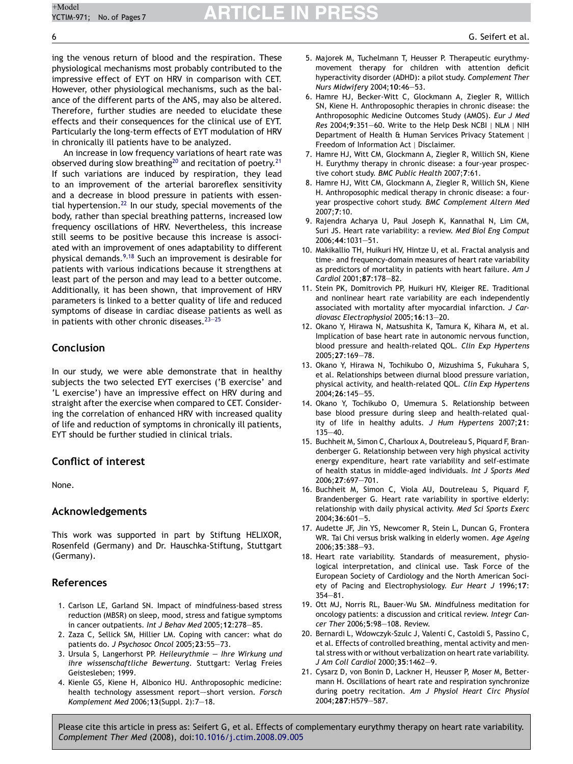ing the venous return of blood and the respiration. These physiological mechanisms most probably contributed to the impressive effect of EYT on HRV in comparison with CET. However, other physiological mechanisms, such as the balance of the different parts of the ANS, may also be altered. Therefore, further studies are needed to elucidate these effects and their consequences for the clinical use of EYT. Particularly the long-term effects of EYT modulation of HRV in chronically ill patients have to be analyzed.

An increase in low frequency variations of heart rate was observed during slow breathing<sup>20</sup> and recitation of poetry.<sup>21</sup> If such variations are induced by respiration, they lead to an improvement of the arterial baroreflex sensitivity and a decrease in blood pressure in patients with essential hypertension.[22](#page-6-0) In our study, special movements of the body, rather than special breathing patterns, increased low frequency oscillations of HRV. Nevertheless, this increase still seems to be positive because this increase is associated with an improvement of ones adaptability to different physical demands.9,18 Such an improvement is desirable for patients with various indications because it strengthens at least part of the person and may lead to a better outcome. Additionally, it has been shown, that improvement of HRV parameters is linked to a better quality of life and reduced symptoms of disease in cardiac disease patients as well as in patients with other chronic diseases.  $23-25$ 

### **Conclusion**

In our study, we were able demonstrate that in healthy subjects the two selected EYT exercises ('B exercise' and 'L exercise') have an impressive effect on HRV during and straight after the exercise when compared to CET. Considering the correlation of enhanced HRV with increased quality of life and reduction of symptoms in chronically ill patients, EYT should be further studied in clinical trials.

### **Conflict of interest**

None.

### **Acknowledgements**

This work was supported in part by Stiftung HELIXOR, Rosenfeld (Germany) and Dr. Hauschka-Stiftung, Stuttgart (Germany).

### **References**

- 1. Carlson LE, Garland SN. Impact of mindfulness-based stress reduction (MBSR) on sleep, mood, stress and fatigue symptoms in cancer outpatients. *Int J Behav Med* 2005;**12**:278—85.
- 2. Zaza C, Sellick SM, Hillier LM. Coping with cancer: what do patients do. *J Psychosoc Oncol* 2005;**23**:55—73.
- 3. Ursula S, Langerhorst PP. *Heileurythmie Ihre Wirkung und ihre wissenschaftliche Bewertung*. Stuttgart: Verlag Freies Geistesleben; 1999.
- 4. Kienle GS, Kiene H, Albonico HU. Anthroposophic medicine: health technology assessment report—–short version. *Forsch Komplement Med* 2006;**13**(Suppl. 2):7—18.
- 5. Majorek M, Tuchelmann T, Heusser P. Therapeutic eurythmymovement therapy for children with attention deficit hyperactivity disorder (ADHD): a pilot study. *Complement Ther Nurs Midwifery* 2004;**10**:46—53.
- 6. Hamre HJ, Becker-Witt C, Glockmann A, Ziegler R, Willich SN, Kiene H. Anthroposophic therapies in chronic disease: the Anthroposophic Medicine Outcomes Study (AMOS). *Eur J Med Res* 2004;**9**:351—60. Write to the Help Desk NCBI | NLM | NIH Department of Health & Human Services Privacy Statement | Freedom of Information Act | Disclaimer.
- 7. Hamre HJ, Witt CM, Glockmann A, Ziegler R, Willich SN, Kiene H. Eurythmy therapy in chronic disease: a four-year prospective cohort study. *BMC Public Health* 2007;**7**:61.
- 8. Hamre HJ, Witt CM, Glockmann A, Ziegler R, Willich SN, Kiene H. Anthroposophic medical therapy in chronic disease: a fouryear prospective cohort study. *BMC Complement Altern Med* 2007;**7**:10.
- 9. Rajendra Acharya U, Paul Joseph K, Kannathal N, Lim CM, Suri JS. Heart rate variability: a review. *Med Biol Eng Comput* 2006;**44**:1031—51.
- 10. Makikallio TH, Huikuri HV, Hintze U, et al. Fractal analysis and time- and frequency-domain measures of heart rate variability as predictors of mortality in patients with heart failure. *Am J Cardiol* 2001;**87**:178—82.
- 11. Stein PK, Domitrovich PP, Huikuri HV, Kleiger RE. Traditional and nonlinear heart rate variability are each independently associated with mortality after myocardial infarction. *J Cardiovasc Electrophysiol* 2005;**16**:13—20.
- 12. Okano Y, Hirawa N, Matsushita K, Tamura K, Kihara M, et al. Implication of base heart rate in autonomic nervous function, blood pressure and health-related QOL. *Clin Exp Hypertens* 2005;**27**:169—78.
- 13. Okano Y, Hirawa N, Tochikubo O, Mizushima S, Fukuhara S, et al. Relationships between diurnal blood pressure variation, physical activity, and health-related QOL. *Clin Exp Hypertens* 2004;**26**:145—55.
- 14. Okano Y, Tochikubo O, Umemura S. Relationship between base blood pressure during sleep and health-related quality of life in healthy adults. *J Hum Hypertens* 2007;**21**: 135—40.
- 15. Buchheit M, Simon C, Charloux A, Doutreleau S, Piquard F, Brandenberger G. Relationship between very high physical activity energy expenditure, heart rate variability and self-estimate of health status in middle-aged individuals. *Int J Sports Med* 2006;**27**:697—701.
- 16. Buchheit M, Simon C, Viola AU, Doutreleau S, Piquard F, Brandenberger G. Heart rate variability in sportive elderly: relationship with daily physical activity. *Med Sci Sports Exerc* 2004;**36**:601—5.
- 17. Audette JF, Jin YS, Newcomer R, Stein L, Duncan G, Frontera WR. Tai Chi versus brisk walking in elderly women. *Age Ageing* 2006;**35**:388—93.
- 18. Heart rate variability. Standards of measurement, physiological interpretation, and clinical use. Task Force of the European Society of Cardiology and the North American Society of Pacing and Electrophysiology. *Eur Heart J* 1996;**17**: 354—81.
- 19. Ott MJ, Norris RL, Bauer-Wu SM. Mindfulness meditation for oncology patients: a discussion and critical review. *Integr Cancer Ther* 2006;**5**:98—108. Review.
- 20. Bernardi L, Wdowczyk-Szulc J, Valenti C, Castoldi S, Passino C, et al. Effects of controlled breathing, mental activity and mental stress with or without verbalization on heart rate variability. *J Am Coll Cardiol* 2000;**35**:1462—9.
- 21. Cysarz D, von Bonin D, Lackner H, Heusser P, Moser M, Bettermann H. Oscillations of heart rate and respiration synchronize during poetry recitation. *Am J Physiol Heart Circ Physiol* 2004;**287**:H579—587.

<span id="page-5-0"></span>